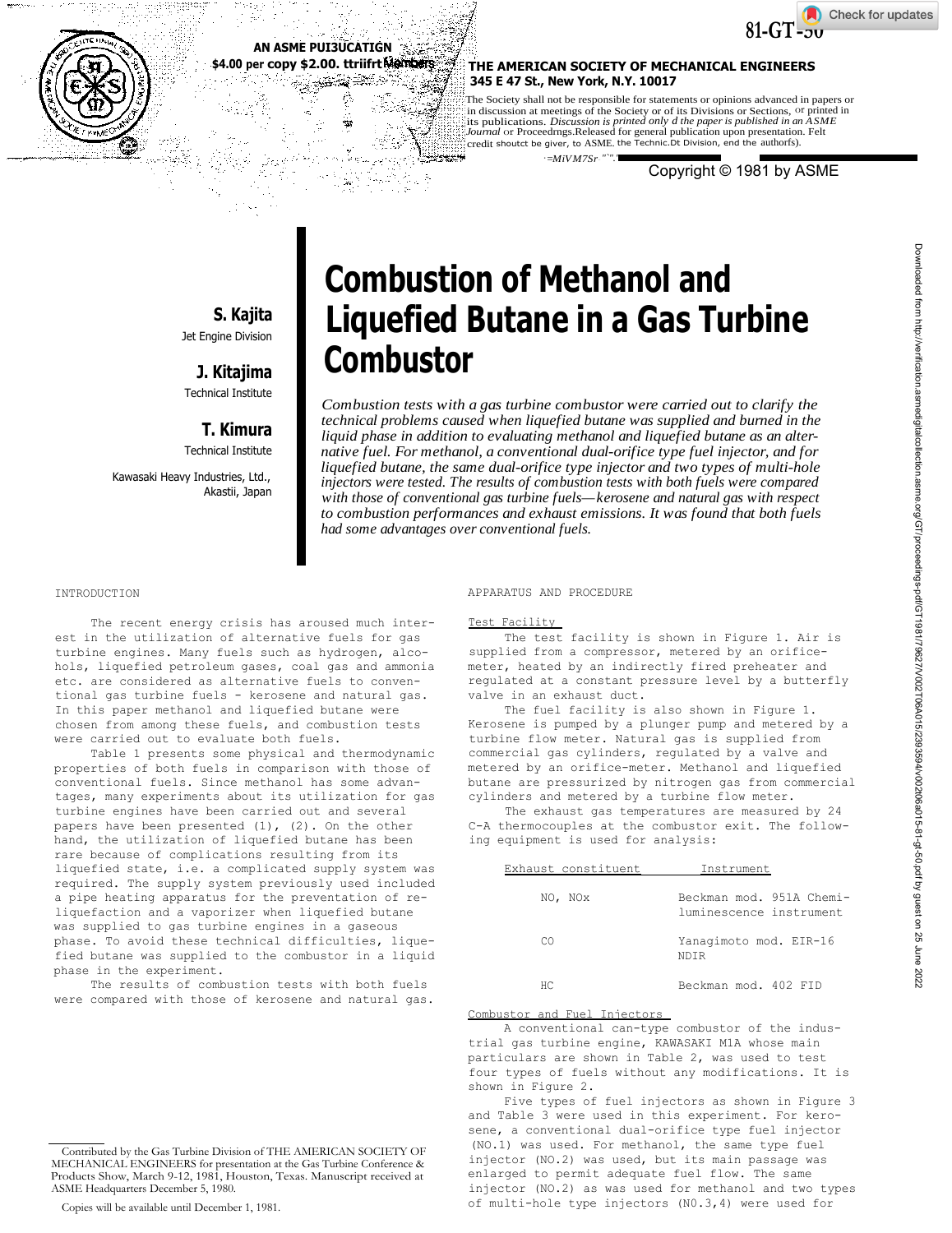



# **AN ASME PUI3UCATIGN \$4.00 per copy \$2.00. ttriifrt**

# **THE AMERICAN SOCIETY OF MECHANICAL ENGINEERS 345 E 47 St., New York, N.Y. 10017**

The Society shall not be responsible for statements or opinions advanced in papers or in discussion at meetings of the Society or of its Divisions or Sections, or printed in its publications. *Discussion is printed only d the paper is published in an ASME Journal* or Proceedrngs.Released for general publication upon presentation. Felt credit shoutct be giver, to ASME. the Technic.Dt Division, end the authorfs).

Copyright © 1981 by ASME

# **S. Kajita** Jet Engine Division

**J. Kitajima** Technical Institute

# **T. Kimura**

Technical Institute

Kawasaki Heavy Industries, Ltd., Akastii, Japan

# **Combustion of Methanol and Liquefied Butane in a Gas Turbine Combustor**

*-=MiVM7Sr-"`".'*

*Combustion tests with a gas turbine combustor were carried out to clarify the technical problems caused when liquefied butane was supplied and burned in the liquid phase in addition to evaluating methanol and liquefied butane as an alternative fuel. For methanol, a conventional dual-orifice type fuel injector, and for liquefied butane, the same dual-orifice type injector and two types of multi-hole injectors were tested. The results of combustion tests with both fuels were compared with those of conventional gas turbine fuels—kerosene and natural gas with respect to combustion performances and exhaust emissions. It was found that both fuels had some advantages over conventional fuels.*

## INTRODUCTION

The recent energy crisis has aroused much interest in the utilization of alternative fuels for gas turbine engines. Many fuels such as hydrogen, alcohols, liquefied petroleum gases, coal gas and ammonia etc. are considered as alternative fuels to conventional gas turbine fuels - kerosene and natural gas. In this paper methanol and liquefied butane were chosen from among these fuels, and combustion tests were carried out to evaluate both fuels.

Table 1 presents some physical and thermodynamic properties of both fuels in comparison with those of conventional fuels. Since methanol has some advantages, many experiments about its utilization for gas turbine engines have been carried out and several papers have been presented  $(1)$ ,  $(2)$ . On the other hand, the utilization of liquefied butane has been rare because of complications resulting from its liquefied state, i.e. a complicated supply system was required. The supply system previously used included a pipe heating apparatus for the preventation of reliquefaction and a vaporizer when liquefied butane was supplied to gas turbine engines in a gaseous phase. To avoid these technical difficulties, liquefied butane was supplied to the combustor in a liquid phase in the experiment.

The results of combustion tests with both fuels were compared with those of kerosene and natural gas. APPARATUS AND PROCEDURE

## Test Facility

The test facility is shown in Figure 1. Air is supplied from a compressor, metered by an orificemeter, heated by an indirectly fired preheater and regulated at a constant pressure level by a butterfly valve in an exhaust duct.

The fuel facility is also shown in Figure 1. Kerosene is pumped by a plunger pump and metered by a turbine flow meter. Natural gas is supplied from commercial gas cylinders, regulated by a valve and metered by an orifice-meter. Methanol and liquefied butane are pressurized by nitrogen gas from commercial cylinders and metered by a turbine flow meter.

The exhaust gas temperatures are measured by 24 C-A thermocouples at the combustor exit. The following equipment is used for analysis:

| Exhaust constituent | Instrument                                          |  |  |
|---------------------|-----------------------------------------------------|--|--|
| NO, NOX             | Beckman mod. 951A Chemi-<br>luminescence instrument |  |  |
| CΩ                  | Yanagimoto mod. EIR-16<br>NDTR                      |  |  |
| НC                  | Beckman mod. 402 FID                                |  |  |

#### Combustor and Fuel Injectors

A conventional can-type combustor of the industrial gas turbine engine, KAWASAKI M1A whose main particulars are shown in Table 2, was used to test four types of fuels without any modifications. It is shown in Figure 2.

Five types of fuel injectors as shown in Figure 3 and Table 3 were used in this experiment. For kerosene, a conventional dual-orifice type fuel injector (NO.1) was used. For methanol, the same type fuel injector (NO.2) was used, but its main passage was enlarged to permit adequate fuel flow. The same injector (NO.2) as was used for methanol and two types of multi-hole type injectors (N0.3,4) were used for

Contributed by the Gas Turbine Division of THE AMERICAN SOCIETY OF MECHANICAL ENGINEERS for presentation at the Gas Turbine Conference & Products Show, March 9-12, 1981, Houston, Texas. Manuscript received at ASME Headquarters December 5, 1980.

Copies will be available until December 1, 1981.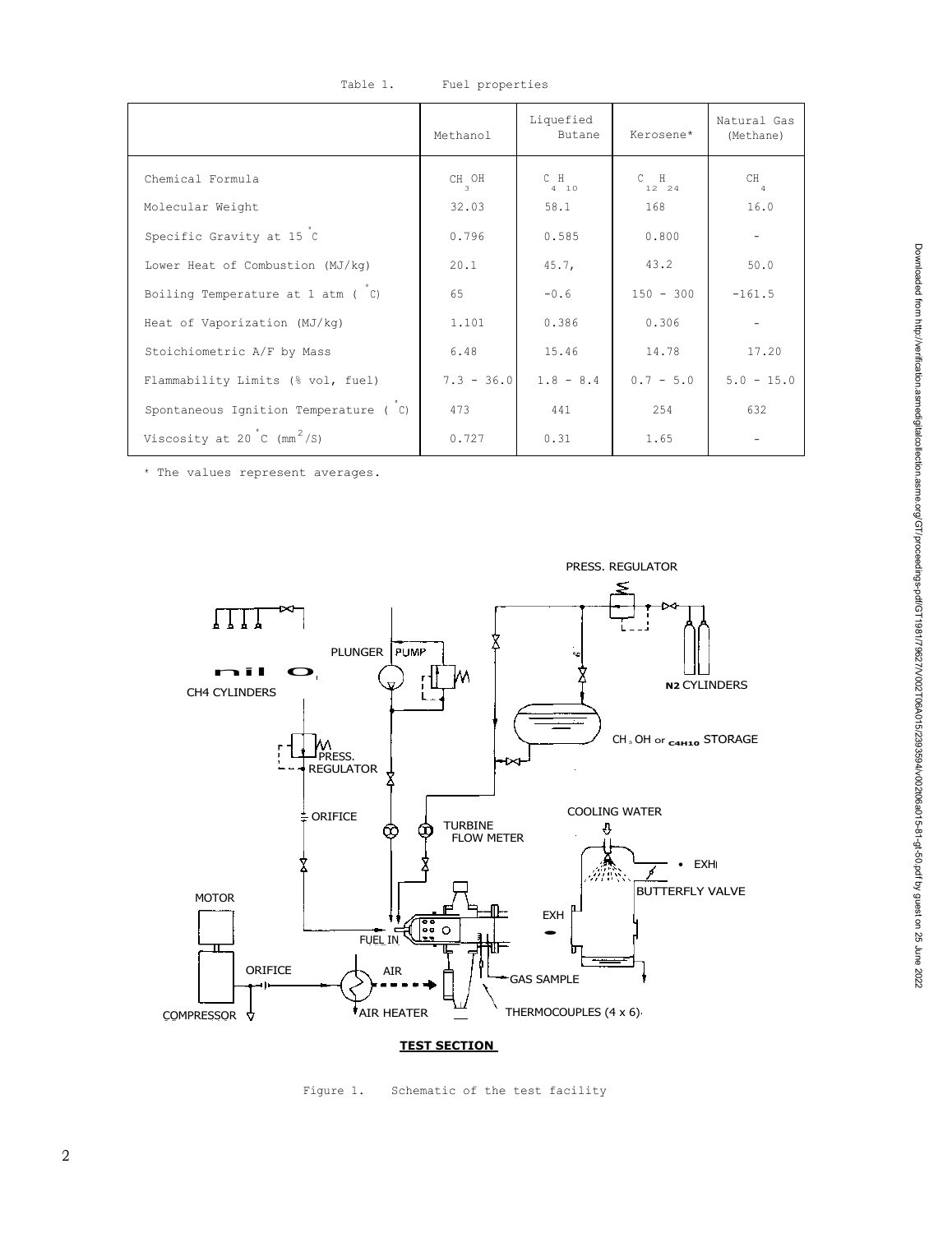|                                                | Methanol     | Liquefied<br>Butane | Kerosene*        | Natural Gas<br>(Methane) |
|------------------------------------------------|--------------|---------------------|------------------|--------------------------|
| Chemical Formula                               | CH OH<br>3   | $C$ $H$<br>410      | $C$ $H$<br>12 24 | CH.<br>$\overline{4}$    |
| Molecular Weight                               | 32.03        | 58.1                | 168              | 16.0                     |
| Specific Gravity at 15 C                       | 0.796        | 0.585               | 0.800            |                          |
| Lower Heat of Combustion (MJ/kg)               | 20.1         | 45.7,               | 43.2             | 50.0                     |
| Boiling Temperature at 1 atm ( C)              | 65           | $-0.6$              | $150 - 300$      | $-161.5$                 |
| Heat of Vaporization (MJ/kg)                   | 1.101        | 0.386               | 0.306            |                          |
| Stoichiometric A/F by Mass                     | 6.48         | 15.46               | 14.78            | 17.20                    |
| Flammability Limits (% vol, fuel)              | $7.3 - 36.0$ | $1.8 - 8.4$         | $0.7 - 5.0$      | $5.0 - 15.0$             |
| Spontaneous Ignition Temperature (C)           | 473          | 441                 | 254              | 632                      |
| Viscosity at 20 $\degree$ (mm <sup>2</sup> /S) | 0.727        | 0.31                | 1.65             |                          |

Table 1. Fuel properties

\* The values represent averages.



# **TEST SECTION**

Figure 1. Schematic of the test facility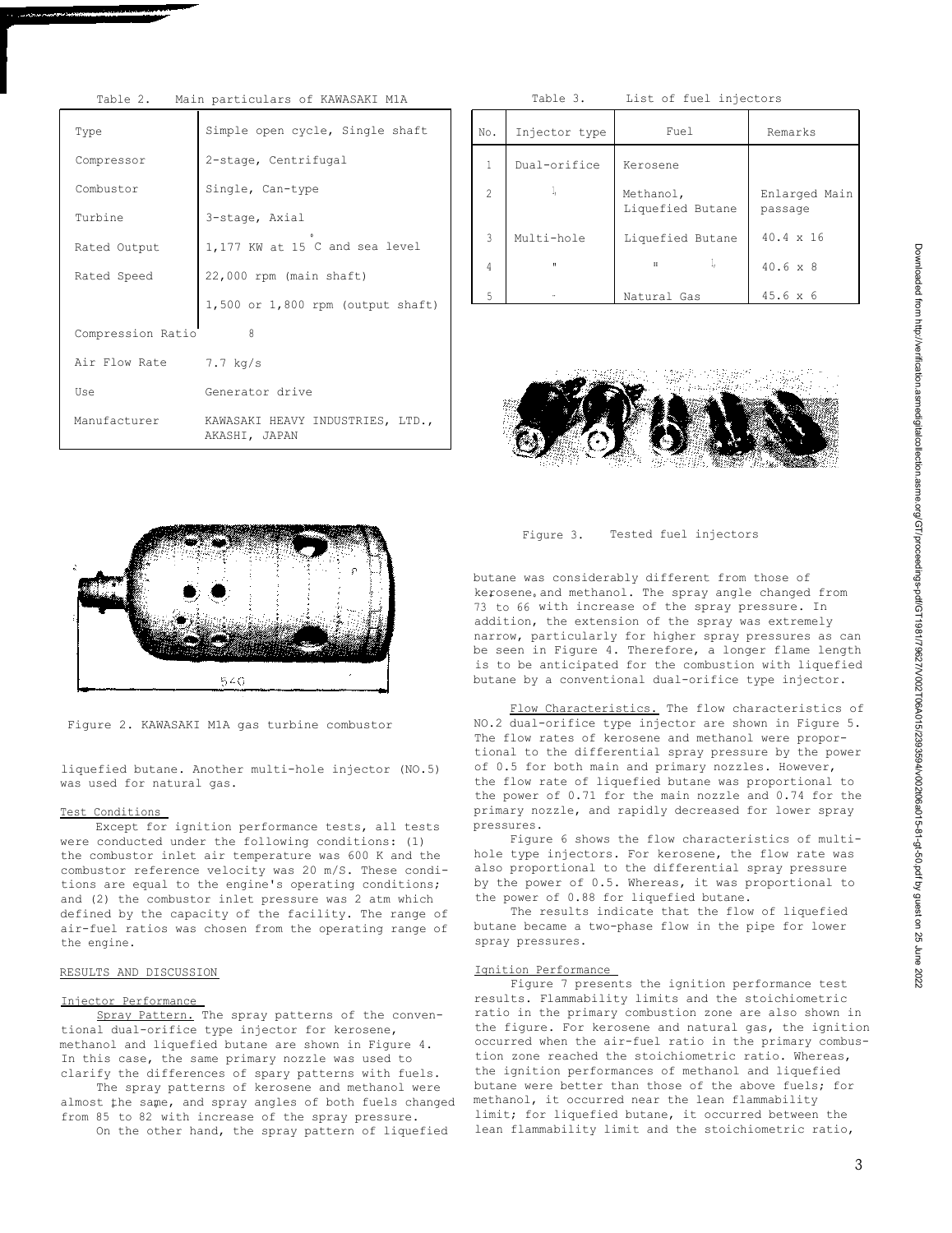| Table Z.<br>MAIN PALLICULAIS OL NAWASANI MIA |                                                   |  |  |  |
|----------------------------------------------|---------------------------------------------------|--|--|--|
| Type                                         | Simple open cycle, Single shaft                   |  |  |  |
| Compressor                                   | 2-stage, Centrifugal                              |  |  |  |
| Combustor                                    | Single, Can-type                                  |  |  |  |
| Turbine                                      | 3-stage, Axial                                    |  |  |  |
| Rated Output                                 | 1,177 KW at 15 C and sea level                    |  |  |  |
| Rated Speed                                  | 22,000 rpm (main shaft)                           |  |  |  |
|                                              | $1,500$ or $1,800$ rpm (output shaft)             |  |  |  |
| 8<br>Compression Ratio                       |                                                   |  |  |  |
| Air Flow Rate                                | 7.7 kg/s                                          |  |  |  |
| Use                                          | Generator drive                                   |  |  |  |
| Manufacturer                                 | KAWASAKI HEAVY INDUSTRIES, LTD.,<br>AKASHI, JAPAN |  |  |  |

## in particulars of KAWASAKI M1A Table 3. List of fuel injectors

| No.            | Injector type             | Fuel                          | Remarks                  |
|----------------|---------------------------|-------------------------------|--------------------------|
| $\overline{1}$ | Dual-orifice              | Kerosene                      |                          |
| $\mathfrak{D}$ | $\mathbf{I}_{\mathrm{I}}$ | Methanol,<br>Liquefied Butane | Enlarged Main<br>passage |
| $\mathbf{3}$   | Multi-hole                | Liquefied Butane              | $40.4 \times 16$         |
| 4              | п                         | $\Pi$                         | $40.6 \times 8$          |
| 5              | $\ddot{\phantom{a}}$      | Natural Gas                   | $45.6 \times 6$          |





Figure 2. KAWASAKI M1A gas turbine combustor

liquefied butane. Another multi-hole injector (NO.5) was used for natural gas.

## Test Conditions

Except for ignition performance tests, all tests were conducted under the following conditions: (1) the combustor inlet air temperature was 600 K and the combustor reference velocity was 20 m/S. These conditions are equal to the engine's operating conditions; and (2) the combustor inlet pressure was 2 atm which defined by the capacity of the facility. The range of air-fuel ratios was chosen from the operating range of the engine.

#### RESULTS AND DISCUSSION

# Injector Performance

Spray Pattern. The spray patterns of the conventional dual-orifice type injector for kerosene, methanol and liquefied butane are shown in Figure 4. In this case, the same primary nozzle was used to clarify the differences of spary patterns with fuels.

The spray patterns of kerosene and methanol were almost the same, and spray angles of both fuels changed from 85 to 82 with increase of the spray pressure. On the other hand, the spray pattern of liquefied

Figure 3. Tested fuel injectors

butane was considerably different from those of kerosene, and methanol. The spray angle changed from 73 to 66 with increase of the spray pressure. In addition, the extension of the spray was extremely narrow, particularly for higher spray pressures as can be seen in Figure 4. Therefore, a longer flame length is to be anticipated for the combustion with liquefied butane by a conventional dual-orifice type injector.

Flow Characteristics. The flow characteristics of NO.2 dual-orifice type injector are shown in Figure 5. The flow rates of kerosene and methanol were proportional to the differential spray pressure by the power of 0.5 for both main and primary nozzles. However, the flow rate of liquefied butane was proportional to the power of 0.71 for the main nozzle and 0.74 for the primary nozzle, and rapidly decreased for lower spray pressures.

Figure 6 shows the flow characteristics of multihole type injectors. For kerosene, the flow rate was also proportional to the differential spray pressure by the power of 0.5. Whereas, it was proportional to the power of 0.88 for liquefied butane.

The results indicate that the flow of liquefied butane became a two-phase flow in the pipe for lower spray pressures.

#### Ignition Performance

Figure 7 presents the ignition performance test results. Flammability limits and the stoichiometric ratio in the primary combustion zone are also shown in the figure. For kerosene and natural gas, the ignition occurred when the air-fuel ratio in the primary combustion zone reached the stoichiometric ratio. Whereas, the ignition performances of methanol and liquefied butane were better than those of the above fuels; for methanol, it occurred near the lean flammability limit; for liquefied butane, it occurred between the lean flammability limit and the stoichiometric ratio,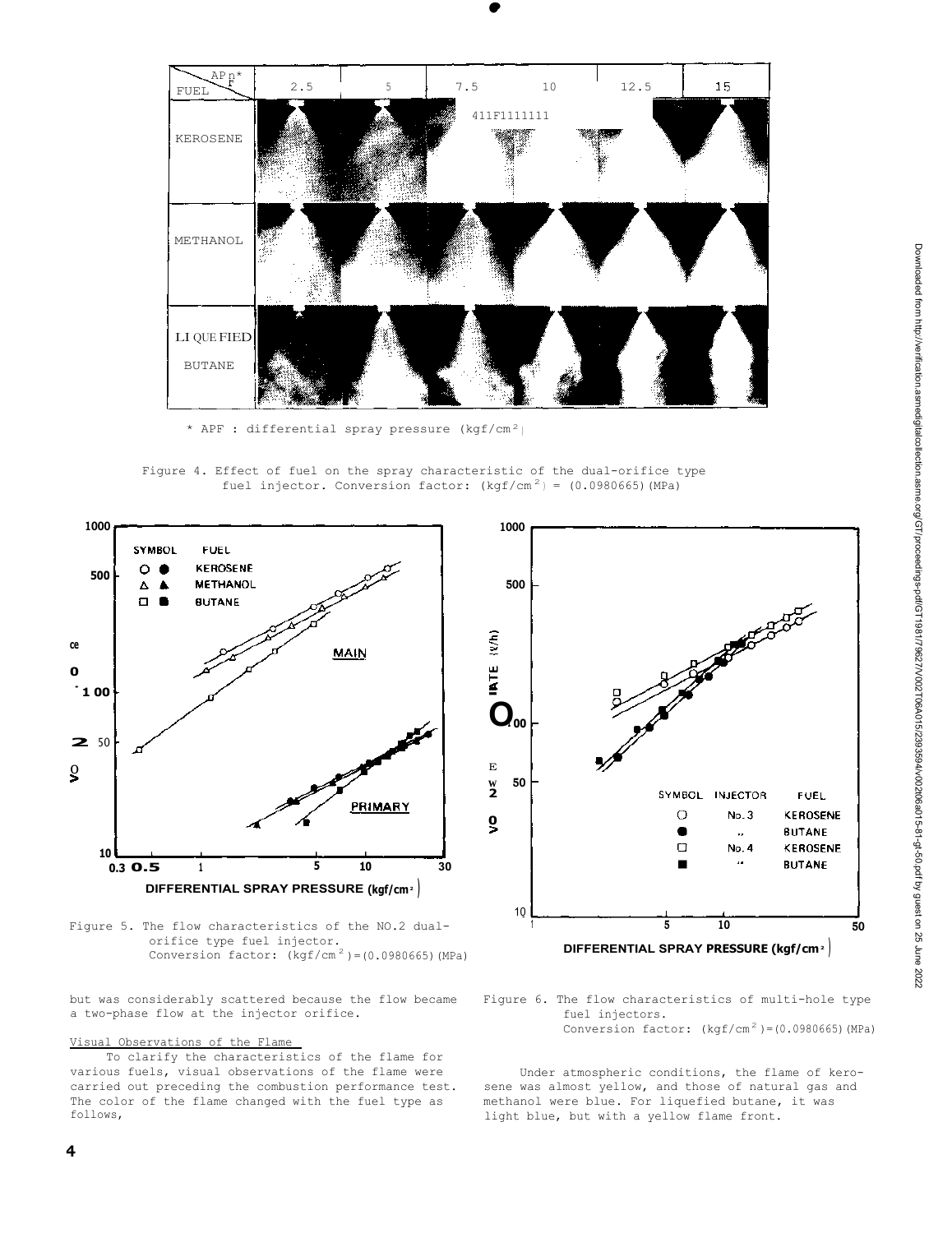

**•** 

**•** 

\* APF : differential spray pressure  $(kgf/cm<sup>2</sup>)$ 

Figure 4. Effect of fuel on the spray characteristic of the dual-orifice type fuel injector. Conversion factor:  $(kgf/cm<sup>2</sup>) = (0.0980665) (MPa)$ 



Figure 5. The flow characteristics of the NO.2 dualorifice type fuel injector. Conversion factor:  $(kgf/cm<sup>2</sup>) = (0.0980665)$  (MPa)

but was considerably scattered because the flow became Figure 6. The flow characteristics of multi-hole type a two-phase flow at the injector orifice. The intervalse fuel injectors.

# Visual Observations of the Flame

To clarify the characteristics of the flame for various fuels, visual observations of the flame were Under atmospheric conditions, the flame of kero-<br>carried out preceding the combustion performance test. Sene was almost yellow, and those of natural gas and carried out preceding the combustion performance test. The color of the flame changed with the fuel type as methanol were blue. For liquefied butane, it was follows,<br>
light blue. but with a vellow flame front.



Conversion factor:  $(kgf/cm<sup>2</sup>) = (0.0980665) (MPa)$ 

light blue, but with a yellow flame front.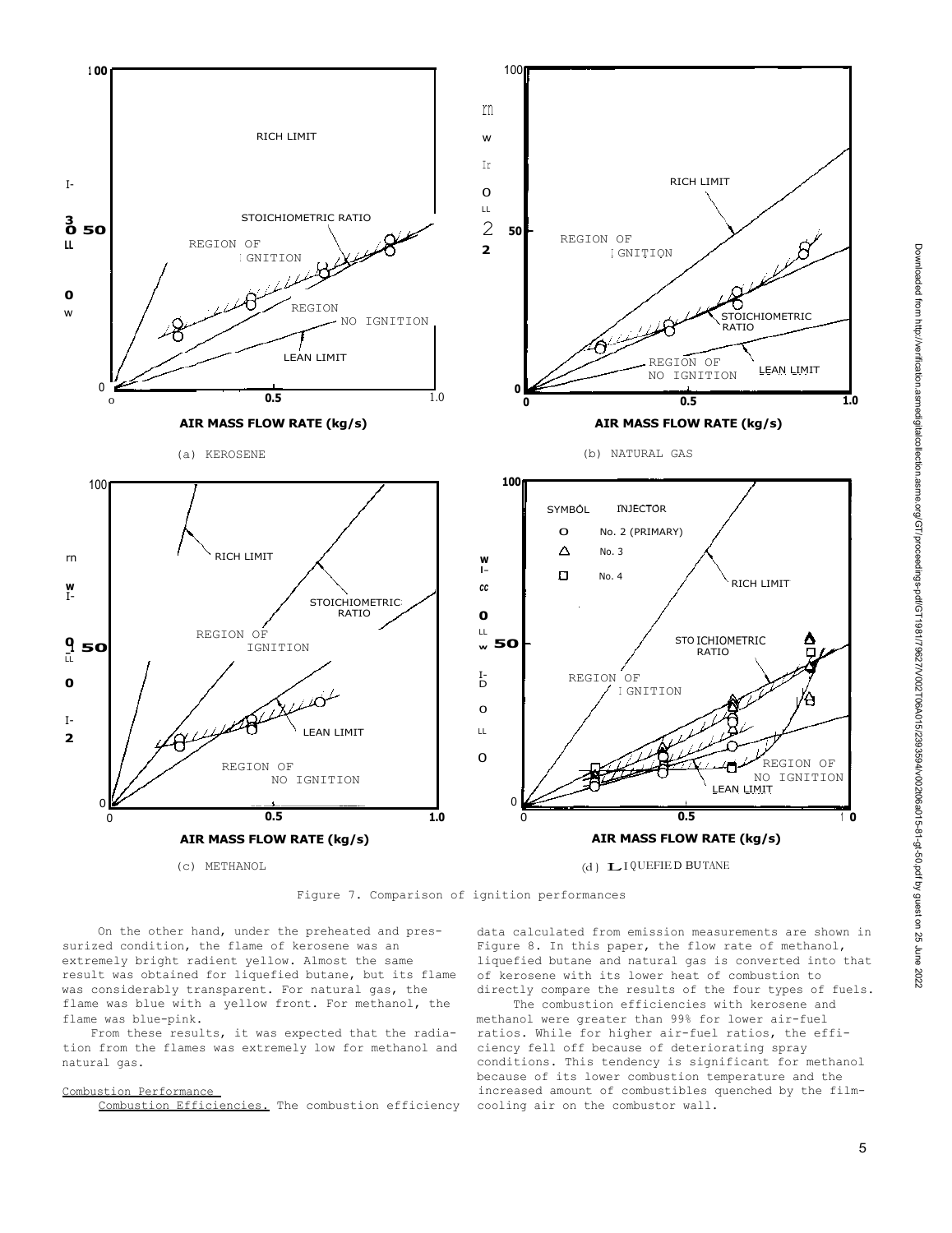

Figure 7. Comparison of ignition performances

On the other hand, under the preheated and pressurized condition, the flame of kerosene was an extremely bright radient yellow. Almost the same result was obtained for liquefied butane, but its flame was considerably transparent. For natural gas, the flame was blue with a yellow front. For methanol, the flame was blue-pink.

From these results, it was expected that the radiation from the flames was extremely low for methanol and natural gas.

#### Combustion Performance

Combustion Efficiencies. The combustion efficiency cooling air on the combustor wall.

data calculated from emission measurements are shown in Figure 8. In this paper, the flow rate of methanol, liquefied butane and natural gas is converted into that of kerosene with its lower heat of combustion to directly compare the results of the four types of fuels.

The combustion efficiencies with kerosene and methanol were greater than 99% for lower air-fuel ratios. While for higher air-fuel ratios, the efficiency fell off because of deteriorating spray conditions. This tendency is significant for methanol because of its lower combustion temperature and the increased amount of combustibles quenched by the film-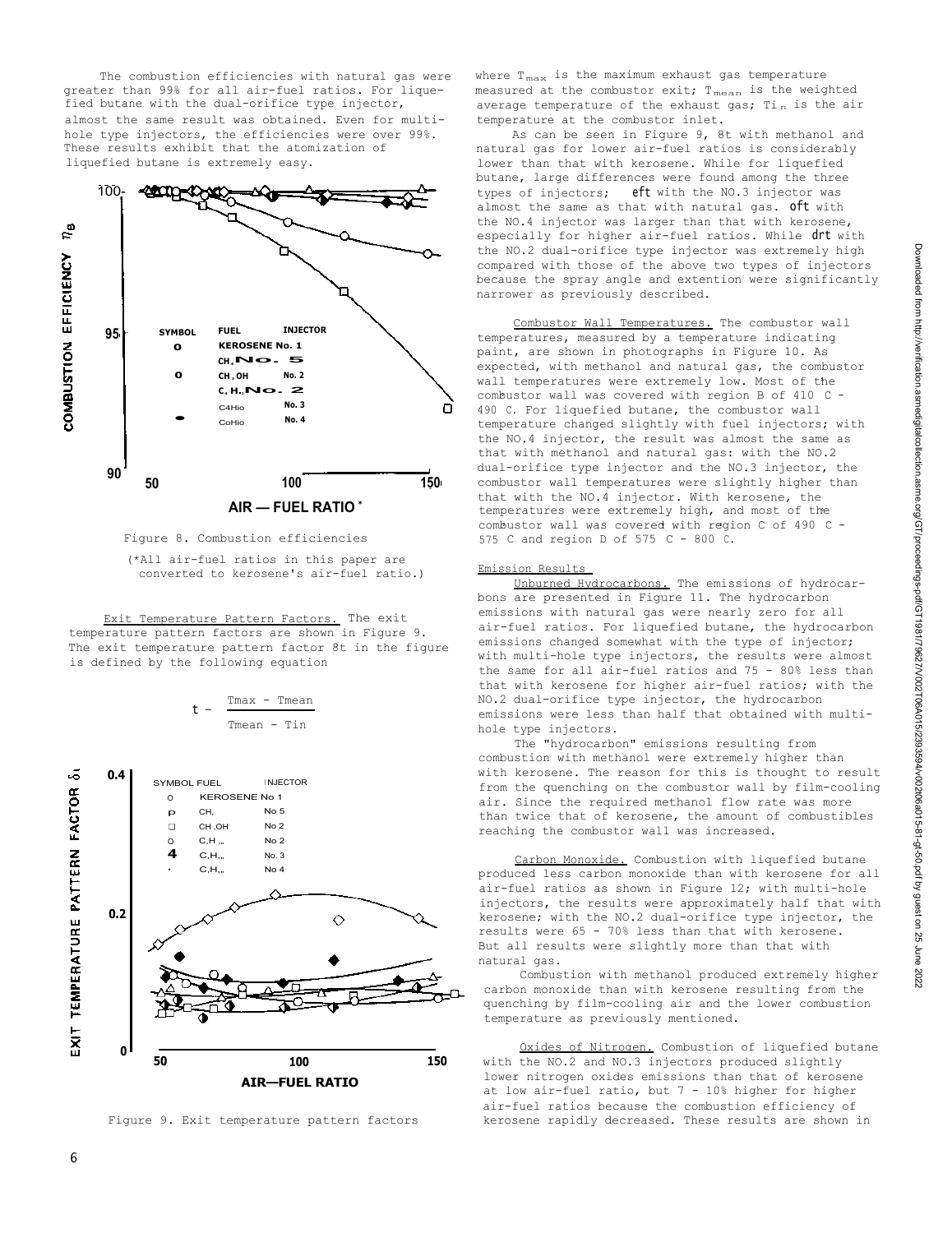The combustion efficiencies with natural gas were greater than 99% for all air-fuel ratios. For liquefied butane with the dual-orifice type injector, almost the same result was obtained. Even for multihole type injectors, the efficiencies were over 99%. These results exhibit that the atomization of liquefied butane is extremely easy.



Figure 8. Combustion efficiencies

(\*All air-fuel ratios in this paper are converted to kerosene's air-fuel ratio.)

Exit Temperature Pattern Factors. The exit temperature pattern factors are shown in Figure 9. The exit temperature pattern factor 8t in the figure is defined by the following equation

$$
t - \frac{Tmax - Tmean}{Tmean - Tin}
$$



Figure 9. Exit temperature pattern factors

where  $T_{\text{max}}$  is the maximum exhaust gas temperature measured at the combustor exit;  $T_{mean}$  is the weighted average temperature of the exhaust gas;  $T_{\text{in}}$  is the air temperature at the combustor inlet.

As can be seen in Figure 9, 8t with methanol and natural gas for lower air-fuel ratios is considerably lower than that with kerosene. While for liquefied butane, large differences were found among the three types of injectors; eft with the NO.3 injector was almost the same as that with natural gas. Oft with the NO.4 injector was larger than that with kerosene, especially for higher air-fuel ratios. While drt with the NO.2 dual-orifice type injector was extremely high compared with those of the above two types of injectors because the spray angle and extention were significantly narrower as previously described.

Combustor Wall Temperatures. The combustor wall temperatures, measured by a temperature indicating paint, are shown in photographs in Figure 10. As expected, with methanol and natural gas, the combustor wall temperatures were extremely low. Most of the combustor wall was covered with region B of 410 C -490 C. For liquefied butane, the combustor wall temperature changed slightly with fuel injectors; with the NO.4 injector, the result was almost the same as that with methanol and natural gas: with the NO.2 dual-orifice type injector and the NO.3 injector, the combustor wall temperatures were slightly higher than that with the NO.4 injector. With kerosene, the temperatures were extremely high, and most of the combustor wall was covered with region C of 490 C combaseor wair was covered wren regi

#### Emission Results

Unburned Hydrocarbons. The emissions of hydrocarbons are presented in Figure 11. The hydrocarbon emissions with natural gas were nearly zero for all air-fuel ratios. For liquefied butane, the hydrocarbon emissions changed somewhat with the type of injector; with multi-hole type injectors, the results were almost the same for all air-fuel ratios and 75 - 80% less than that with kerosene for higher air-fuel ratios; with the NO.2 dual-orifice type injector, the hydrocarbon emissions were less than half that obtained with multihole type injectors.

The "hydrocarbon" emissions resulting from combustion with methanol were extremely higher than with kerosene. The reason for this is thought to result from the quenching on the combustor wall by film-cooling air. Since the required methanol flow rate was more than twice that of kerosene, the amount of combustibles reaching the combustor wall was increased.

Carbon Monoxide. Combustion with liquefied butane produced less carbon monoxide than with kerosene for all air-fuel ratios as shown in Figure 12; with multi-hole injectors, the results were approximately half that with kerosene; with the NO.2 dual-orifice type injector, the results were 65 - 70% less than that with kerosene. But all results were slightly more than that with natural gas.

Combustion with methanol produced extremely higher carbon monoxide than with kerosene resulting from the quenching by film-cooling air and the lower combustion temperature as previously mentioned.

Oxides of Nitrogen. Combustion of liquefied butane with the NO.2 and NO.3 injectors produced slightly lower nitrogen oxides emissions than that of kerosene at low air-fuel ratio, but 7 - 10% higher for higher air-fuel ratios because the combustion efficiency of kerosene rapidly decreased. These results are shown in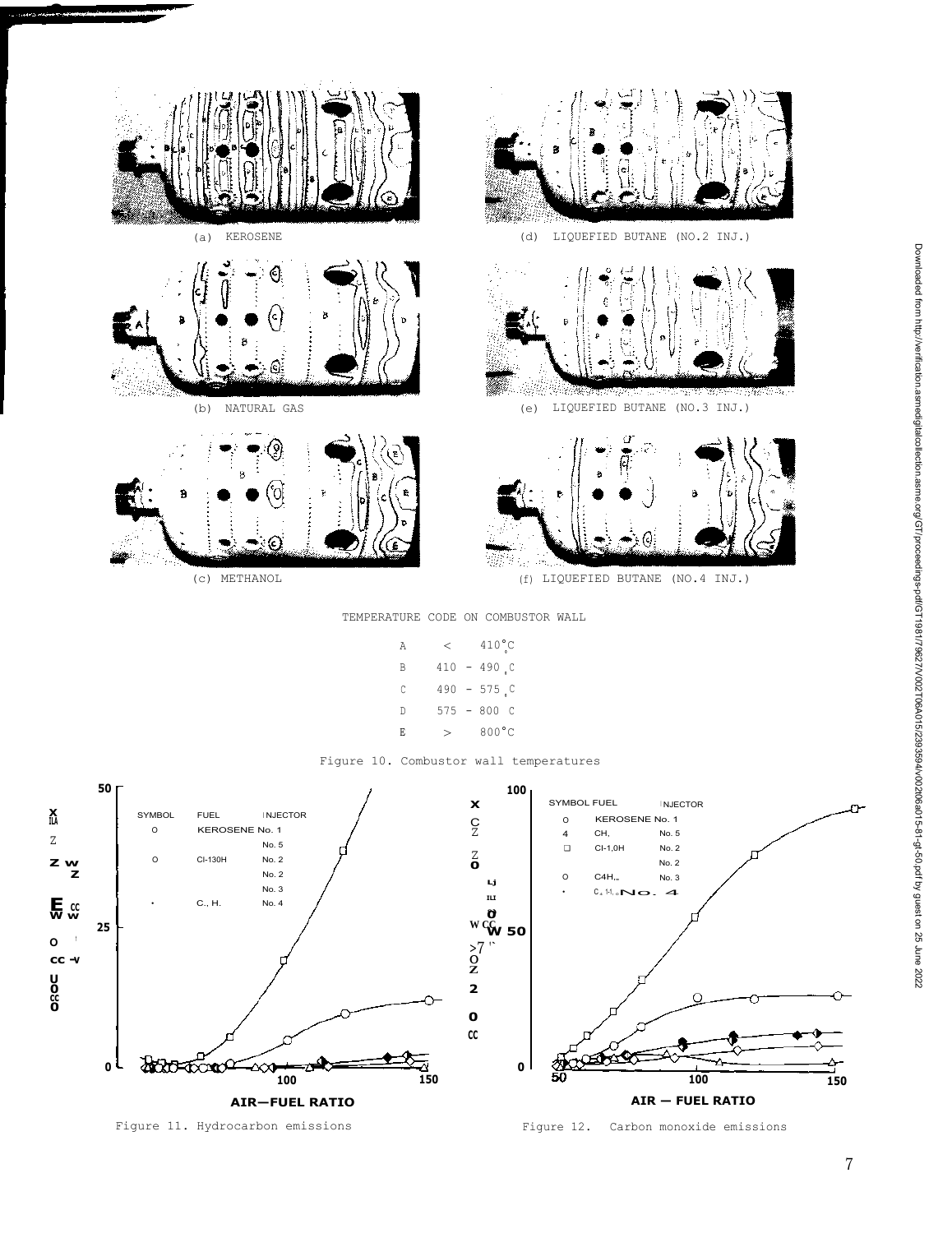

**X ILA** z

**•** 

**Z w Z**

**E CC W w**

**O 1 cc - v**

**U 0 cc 0**

7